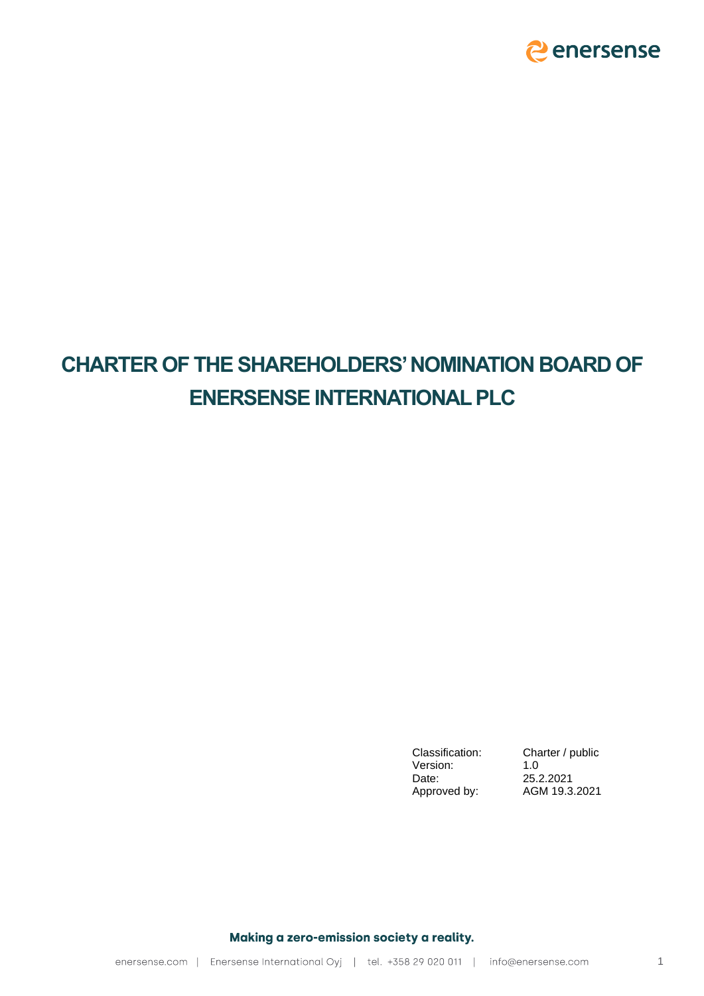

# **CHARTER OF THE SHAREHOLDERS'NOMINATION BOARD OF ENERSENSE INTERNATIONAL PLC**

Version: 1.0<br>Date: 25.2 Approved by:

Classification: Charter / public 25.2.2021<br>AGM 19.3.2021

Making a zero-emission society a reality.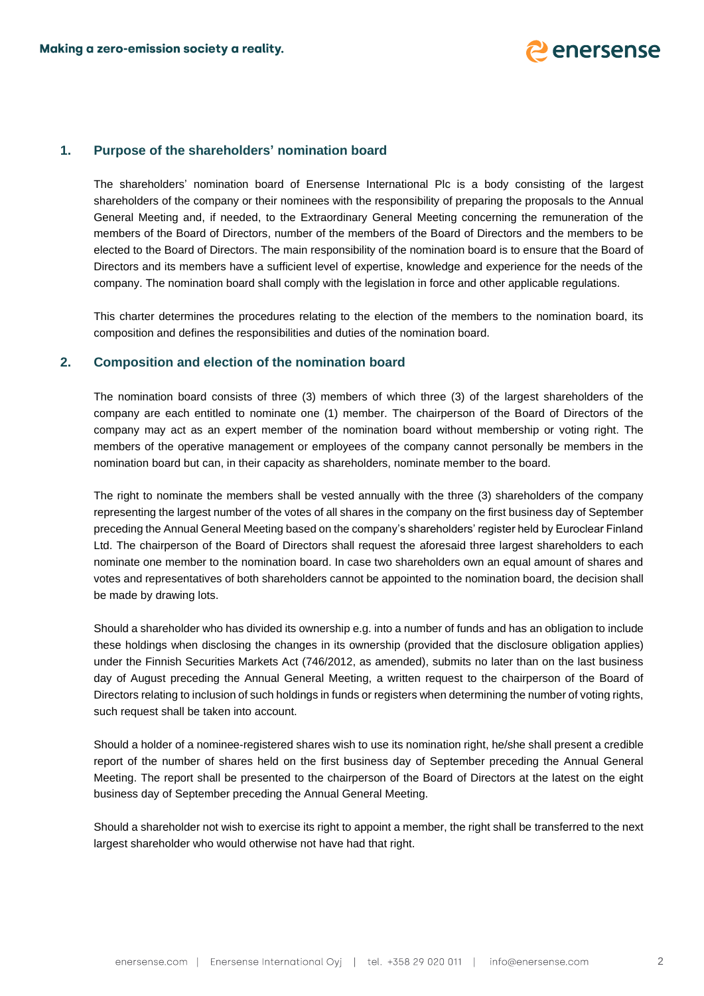

## **1. Purpose of the shareholders' nomination board**

The shareholders' nomination board of Enersense International Plc is a body consisting of the largest shareholders of the company or their nominees with the responsibility of preparing the proposals to the Annual General Meeting and, if needed, to the Extraordinary General Meeting concerning the remuneration of the members of the Board of Directors, number of the members of the Board of Directors and the members to be elected to the Board of Directors. The main responsibility of the nomination board is to ensure that the Board of Directors and its members have a sufficient level of expertise, knowledge and experience for the needs of the company. The nomination board shall comply with the legislation in force and other applicable regulations.

This charter determines the procedures relating to the election of the members to the nomination board, its composition and defines the responsibilities and duties of the nomination board.

#### **2. Composition and election of the nomination board**

The nomination board consists of three (3) members of which three (3) of the largest shareholders of the company are each entitled to nominate one (1) member. The chairperson of the Board of Directors of the company may act as an expert member of the nomination board without membership or voting right. The members of the operative management or employees of the company cannot personally be members in the nomination board but can, in their capacity as shareholders, nominate member to the board.

The right to nominate the members shall be vested annually with the three (3) shareholders of the company representing the largest number of the votes of all shares in the company on the first business day of September preceding the Annual General Meeting based on the company's shareholders' register held by Euroclear Finland Ltd. The chairperson of the Board of Directors shall request the aforesaid three largest shareholders to each nominate one member to the nomination board. In case two shareholders own an equal amount of shares and votes and representatives of both shareholders cannot be appointed to the nomination board, the decision shall be made by drawing lots.

Should a shareholder who has divided its ownership e.g. into a number of funds and has an obligation to include these holdings when disclosing the changes in its ownership (provided that the disclosure obligation applies) under the Finnish Securities Markets Act (746/2012, as amended), submits no later than on the last business day of August preceding the Annual General Meeting, a written request to the chairperson of the Board of Directors relating to inclusion of such holdings in funds or registers when determining the number of voting rights, such request shall be taken into account.

Should a holder of a nominee-registered shares wish to use its nomination right, he/she shall present a credible report of the number of shares held on the first business day of September preceding the Annual General Meeting. The report shall be presented to the chairperson of the Board of Directors at the latest on the eight business day of September preceding the Annual General Meeting.

Should a shareholder not wish to exercise its right to appoint a member, the right shall be transferred to the next largest shareholder who would otherwise not have had that right.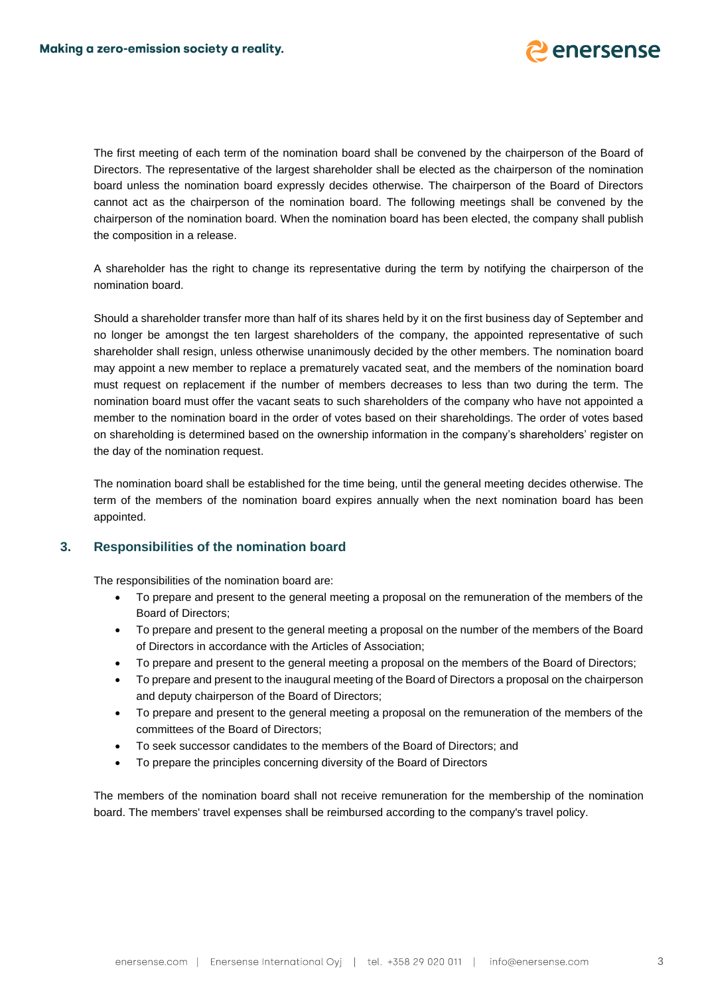

The first meeting of each term of the nomination board shall be convened by the chairperson of the Board of Directors. The representative of the largest shareholder shall be elected as the chairperson of the nomination board unless the nomination board expressly decides otherwise. The chairperson of the Board of Directors cannot act as the chairperson of the nomination board. The following meetings shall be convened by the chairperson of the nomination board. When the nomination board has been elected, the company shall publish the composition in a release.

A shareholder has the right to change its representative during the term by notifying the chairperson of the nomination board.

Should a shareholder transfer more than half of its shares held by it on the first business day of September and no longer be amongst the ten largest shareholders of the company, the appointed representative of such shareholder shall resign, unless otherwise unanimously decided by the other members. The nomination board may appoint a new member to replace a prematurely vacated seat, and the members of the nomination board must request on replacement if the number of members decreases to less than two during the term. The nomination board must offer the vacant seats to such shareholders of the company who have not appointed a member to the nomination board in the order of votes based on their shareholdings. The order of votes based on shareholding is determined based on the ownership information in the company's shareholders' register on the day of the nomination request.

The nomination board shall be established for the time being, until the general meeting decides otherwise. The term of the members of the nomination board expires annually when the next nomination board has been appointed.

#### **3. Responsibilities of the nomination board**

The responsibilities of the nomination board are:

- To prepare and present to the general meeting a proposal on the remuneration of the members of the Board of Directors;
- To prepare and present to the general meeting a proposal on the number of the members of the Board of Directors in accordance with the Articles of Association;
- To prepare and present to the general meeting a proposal on the members of the Board of Directors;
- To prepare and present to the inaugural meeting of the Board of Directors a proposal on the chairperson and deputy chairperson of the Board of Directors;
- To prepare and present to the general meeting a proposal on the remuneration of the members of the committees of the Board of Directors;
- To seek successor candidates to the members of the Board of Directors; and
- To prepare the principles concerning diversity of the Board of Directors

The members of the nomination board shall not receive remuneration for the membership of the nomination board. The members' travel expenses shall be reimbursed according to the company's travel policy.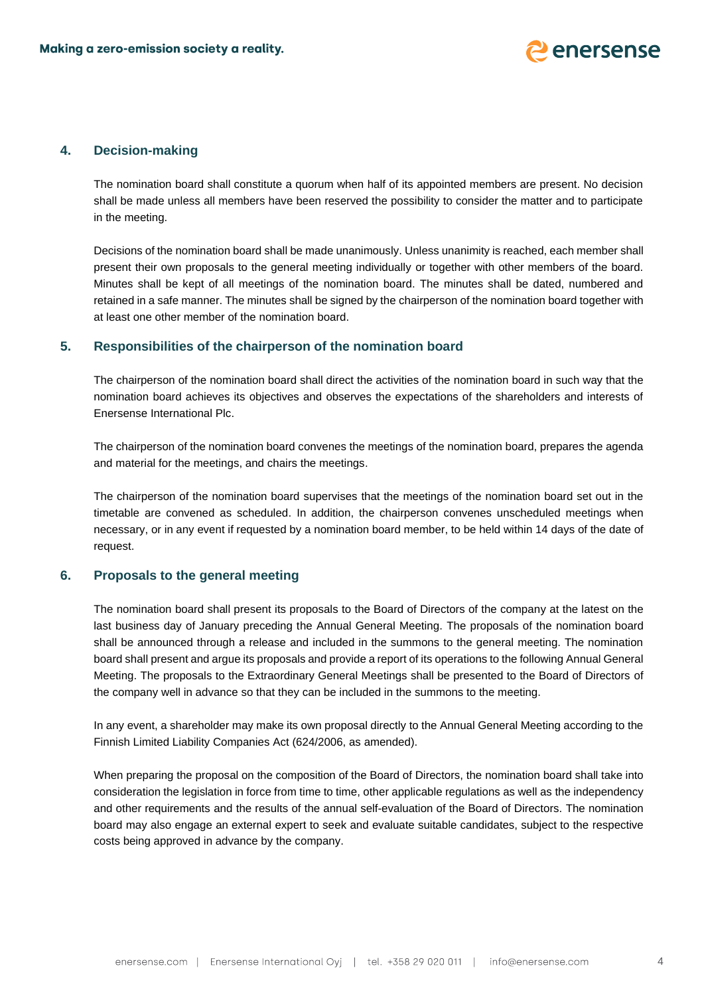

## **4. Decision-making**

The nomination board shall constitute a quorum when half of its appointed members are present. No decision shall be made unless all members have been reserved the possibility to consider the matter and to participate in the meeting.

Decisions of the nomination board shall be made unanimously. Unless unanimity is reached, each member shall present their own proposals to the general meeting individually or together with other members of the board. Minutes shall be kept of all meetings of the nomination board. The minutes shall be dated, numbered and retained in a safe manner. The minutes shall be signed by the chairperson of the nomination board together with at least one other member of the nomination board.

#### **5. Responsibilities of the chairperson of the nomination board**

The chairperson of the nomination board shall direct the activities of the nomination board in such way that the nomination board achieves its objectives and observes the expectations of the shareholders and interests of Enersense International Plc.

The chairperson of the nomination board convenes the meetings of the nomination board, prepares the agenda and material for the meetings, and chairs the meetings.

The chairperson of the nomination board supervises that the meetings of the nomination board set out in the timetable are convened as scheduled. In addition, the chairperson convenes unscheduled meetings when necessary, or in any event if requested by a nomination board member, to be held within 14 days of the date of request.

#### **6. Proposals to the general meeting**

The nomination board shall present its proposals to the Board of Directors of the company at the latest on the last business day of January preceding the Annual General Meeting. The proposals of the nomination board shall be announced through a release and included in the summons to the general meeting. The nomination board shall present and argue its proposals and provide a report of its operations to the following Annual General Meeting. The proposals to the Extraordinary General Meetings shall be presented to the Board of Directors of the company well in advance so that they can be included in the summons to the meeting.

In any event, a shareholder may make its own proposal directly to the Annual General Meeting according to the Finnish Limited Liability Companies Act (624/2006, as amended).

When preparing the proposal on the composition of the Board of Directors, the nomination board shall take into consideration the legislation in force from time to time, other applicable regulations as well as the independency and other requirements and the results of the annual self-evaluation of the Board of Directors. The nomination board may also engage an external expert to seek and evaluate suitable candidates, subject to the respective costs being approved in advance by the company.